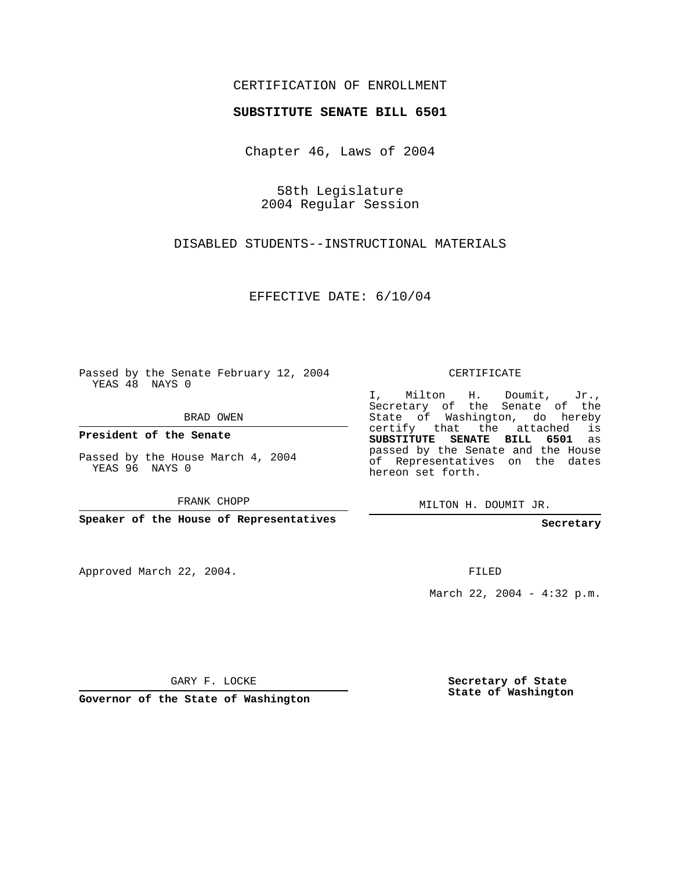## CERTIFICATION OF ENROLLMENT

## **SUBSTITUTE SENATE BILL 6501**

Chapter 46, Laws of 2004

58th Legislature 2004 Regular Session

DISABLED STUDENTS--INSTRUCTIONAL MATERIALS

EFFECTIVE DATE: 6/10/04

Passed by the Senate February 12, 2004 YEAS 48 NAYS 0

BRAD OWEN

**President of the Senate**

Passed by the House March 4, 2004 YEAS 96 NAYS 0

FRANK CHOPP

**Speaker of the House of Representatives**

Approved March 22, 2004.

CERTIFICATE

I, Milton H. Doumit, Jr., Secretary of the Senate of the State of Washington, do hereby certify that the attached is **SUBSTITUTE SENATE BILL 6501** as passed by the Senate and the House of Representatives on the dates hereon set forth.

MILTON H. DOUMIT JR.

**Secretary**

FILED

March 22, 2004 - 4:32 p.m.

GARY F. LOCKE

**Governor of the State of Washington**

**Secretary of State State of Washington**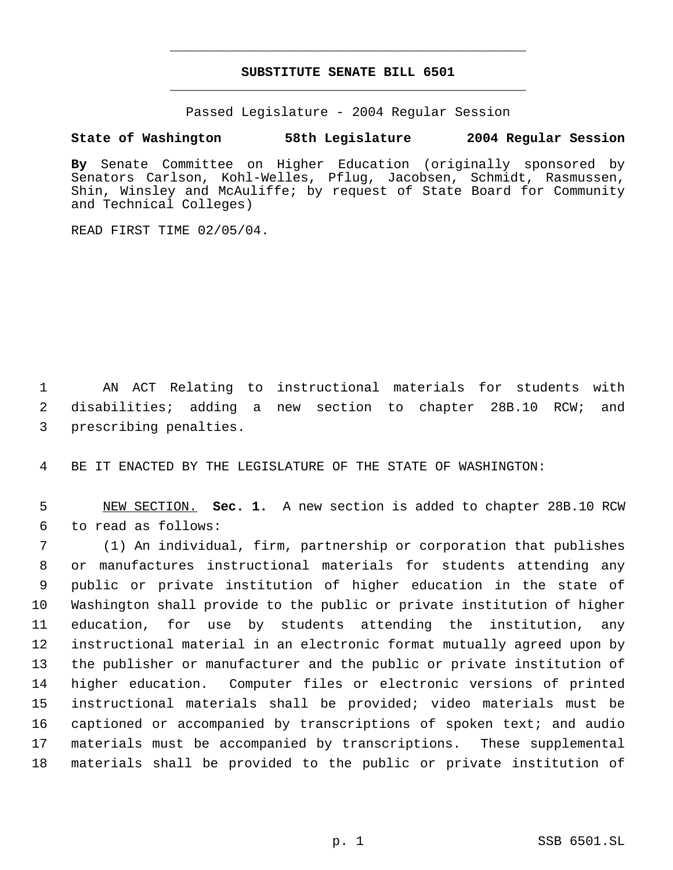## **SUBSTITUTE SENATE BILL 6501** \_\_\_\_\_\_\_\_\_\_\_\_\_\_\_\_\_\_\_\_\_\_\_\_\_\_\_\_\_\_\_\_\_\_\_\_\_\_\_\_\_\_\_\_\_

\_\_\_\_\_\_\_\_\_\_\_\_\_\_\_\_\_\_\_\_\_\_\_\_\_\_\_\_\_\_\_\_\_\_\_\_\_\_\_\_\_\_\_\_\_

Passed Legislature - 2004 Regular Session

## **State of Washington 58th Legislature 2004 Regular Session**

**By** Senate Committee on Higher Education (originally sponsored by Senators Carlson, Kohl-Welles, Pflug, Jacobsen, Schmidt, Rasmussen, Shin, Winsley and McAuliffe; by request of State Board for Community and Technical Colleges)

READ FIRST TIME 02/05/04.

 AN ACT Relating to instructional materials for students with disabilities; adding a new section to chapter 28B.10 RCW; and prescribing penalties.

BE IT ENACTED BY THE LEGISLATURE OF THE STATE OF WASHINGTON:

 NEW SECTION. **Sec. 1.** A new section is added to chapter 28B.10 RCW to read as follows:

 (1) An individual, firm, partnership or corporation that publishes or manufactures instructional materials for students attending any public or private institution of higher education in the state of Washington shall provide to the public or private institution of higher education, for use by students attending the institution, any instructional material in an electronic format mutually agreed upon by the publisher or manufacturer and the public or private institution of higher education. Computer files or electronic versions of printed instructional materials shall be provided; video materials must be captioned or accompanied by transcriptions of spoken text; and audio materials must be accompanied by transcriptions. These supplemental materials shall be provided to the public or private institution of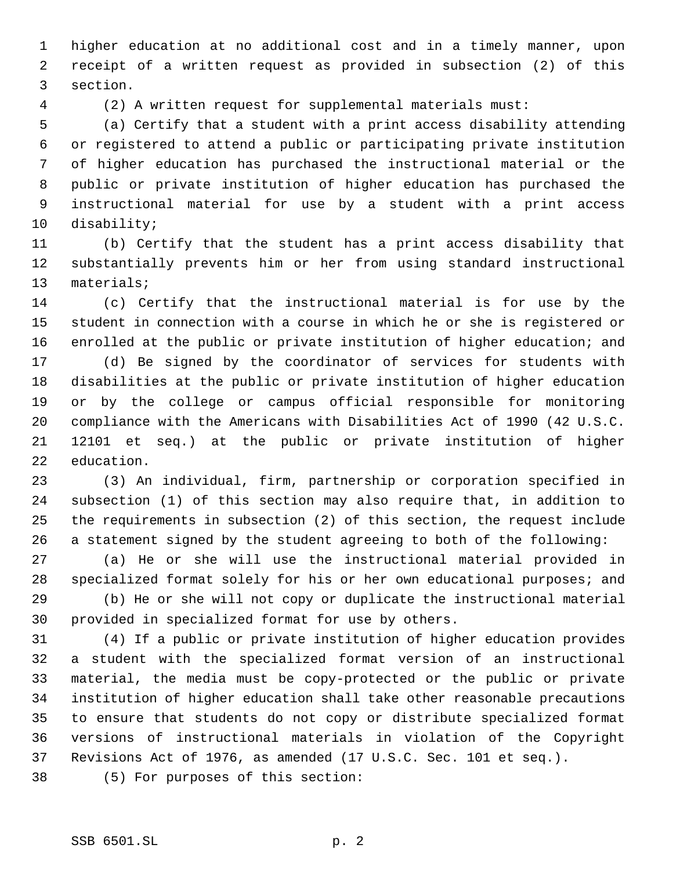higher education at no additional cost and in a timely manner, upon receipt of a written request as provided in subsection (2) of this section.

(2) A written request for supplemental materials must:

 (a) Certify that a student with a print access disability attending or registered to attend a public or participating private institution of higher education has purchased the instructional material or the public or private institution of higher education has purchased the instructional material for use by a student with a print access disability;

 (b) Certify that the student has a print access disability that substantially prevents him or her from using standard instructional materials;

 (c) Certify that the instructional material is for use by the student in connection with a course in which he or she is registered or enrolled at the public or private institution of higher education; and

 (d) Be signed by the coordinator of services for students with disabilities at the public or private institution of higher education or by the college or campus official responsible for monitoring compliance with the Americans with Disabilities Act of 1990 (42 U.S.C. 12101 et seq.) at the public or private institution of higher education.

 (3) An individual, firm, partnership or corporation specified in subsection (1) of this section may also require that, in addition to the requirements in subsection (2) of this section, the request include a statement signed by the student agreeing to both of the following:

 (a) He or she will use the instructional material provided in specialized format solely for his or her own educational purposes; and (b) He or she will not copy or duplicate the instructional material

provided in specialized format for use by others.

 (4) If a public or private institution of higher education provides a student with the specialized format version of an instructional material, the media must be copy-protected or the public or private institution of higher education shall take other reasonable precautions to ensure that students do not copy or distribute specialized format versions of instructional materials in violation of the Copyright Revisions Act of 1976, as amended (17 U.S.C. Sec. 101 et seq.).

(5) For purposes of this section: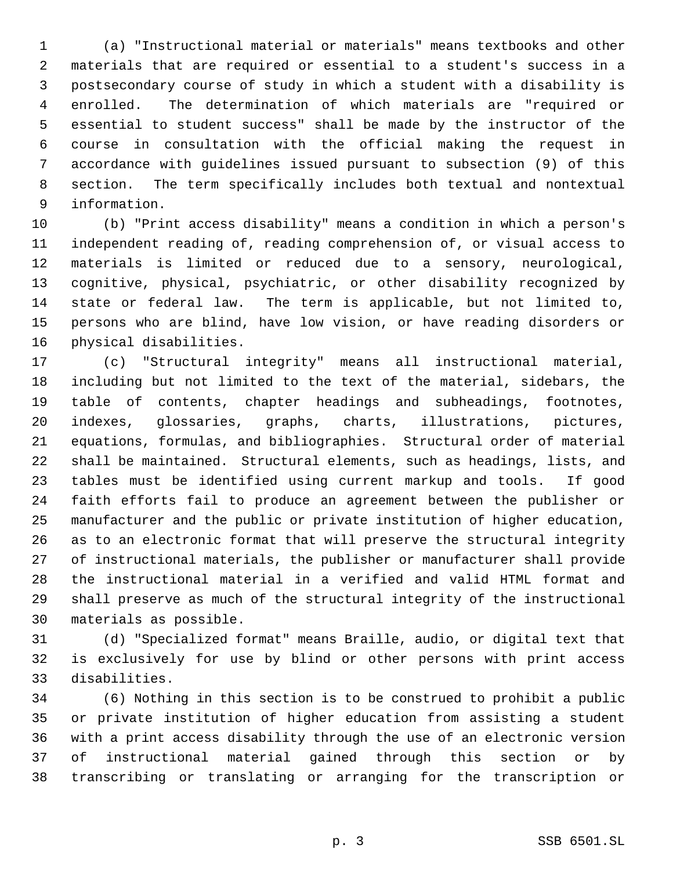(a) "Instructional material or materials" means textbooks and other materials that are required or essential to a student's success in a postsecondary course of study in which a student with a disability is enrolled. The determination of which materials are "required or essential to student success" shall be made by the instructor of the course in consultation with the official making the request in accordance with guidelines issued pursuant to subsection (9) of this section. The term specifically includes both textual and nontextual information.

 (b) "Print access disability" means a condition in which a person's independent reading of, reading comprehension of, or visual access to materials is limited or reduced due to a sensory, neurological, cognitive, physical, psychiatric, or other disability recognized by state or federal law. The term is applicable, but not limited to, persons who are blind, have low vision, or have reading disorders or physical disabilities.

 (c) "Structural integrity" means all instructional material, including but not limited to the text of the material, sidebars, the table of contents, chapter headings and subheadings, footnotes, indexes, glossaries, graphs, charts, illustrations, pictures, equations, formulas, and bibliographies. Structural order of material shall be maintained. Structural elements, such as headings, lists, and tables must be identified using current markup and tools. If good faith efforts fail to produce an agreement between the publisher or manufacturer and the public or private institution of higher education, as to an electronic format that will preserve the structural integrity of instructional materials, the publisher or manufacturer shall provide the instructional material in a verified and valid HTML format and shall preserve as much of the structural integrity of the instructional materials as possible.

 (d) "Specialized format" means Braille, audio, or digital text that is exclusively for use by blind or other persons with print access disabilities.

 (6) Nothing in this section is to be construed to prohibit a public or private institution of higher education from assisting a student with a print access disability through the use of an electronic version of instructional material gained through this section or by transcribing or translating or arranging for the transcription or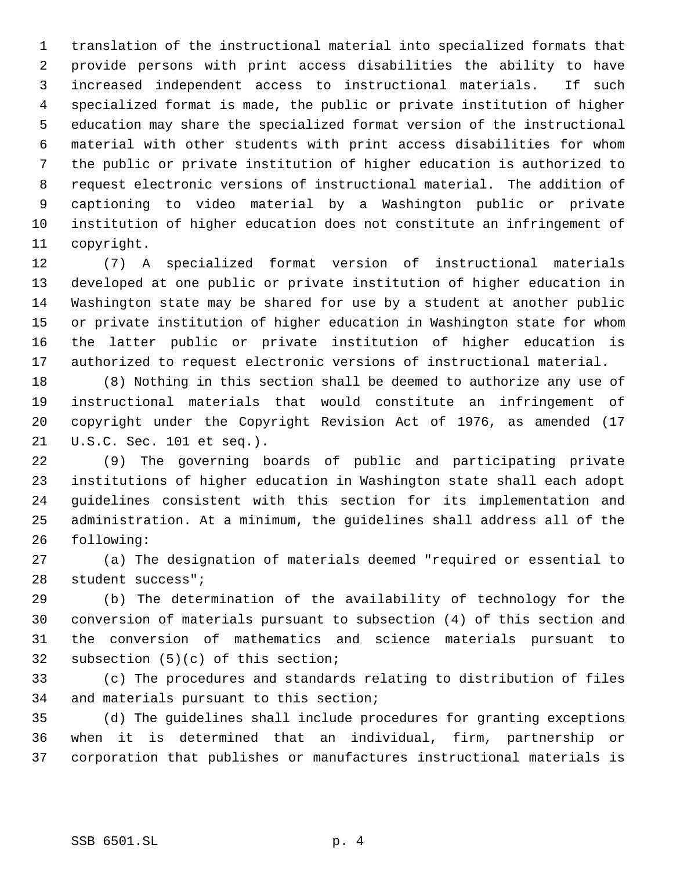translation of the instructional material into specialized formats that provide persons with print access disabilities the ability to have increased independent access to instructional materials. If such specialized format is made, the public or private institution of higher education may share the specialized format version of the instructional material with other students with print access disabilities for whom the public or private institution of higher education is authorized to request electronic versions of instructional material. The addition of captioning to video material by a Washington public or private institution of higher education does not constitute an infringement of copyright.

 (7) A specialized format version of instructional materials developed at one public or private institution of higher education in Washington state may be shared for use by a student at another public or private institution of higher education in Washington state for whom the latter public or private institution of higher education is authorized to request electronic versions of instructional material.

 (8) Nothing in this section shall be deemed to authorize any use of instructional materials that would constitute an infringement of copyright under the Copyright Revision Act of 1976, as amended (17 U.S.C. Sec. 101 et seq.).

 (9) The governing boards of public and participating private institutions of higher education in Washington state shall each adopt guidelines consistent with this section for its implementation and administration. At a minimum, the guidelines shall address all of the following:

 (a) The designation of materials deemed "required or essential to student success";

 (b) The determination of the availability of technology for the conversion of materials pursuant to subsection (4) of this section and the conversion of mathematics and science materials pursuant to subsection (5)(c) of this section;

 (c) The procedures and standards relating to distribution of files and materials pursuant to this section;

 (d) The guidelines shall include procedures for granting exceptions when it is determined that an individual, firm, partnership or corporation that publishes or manufactures instructional materials is